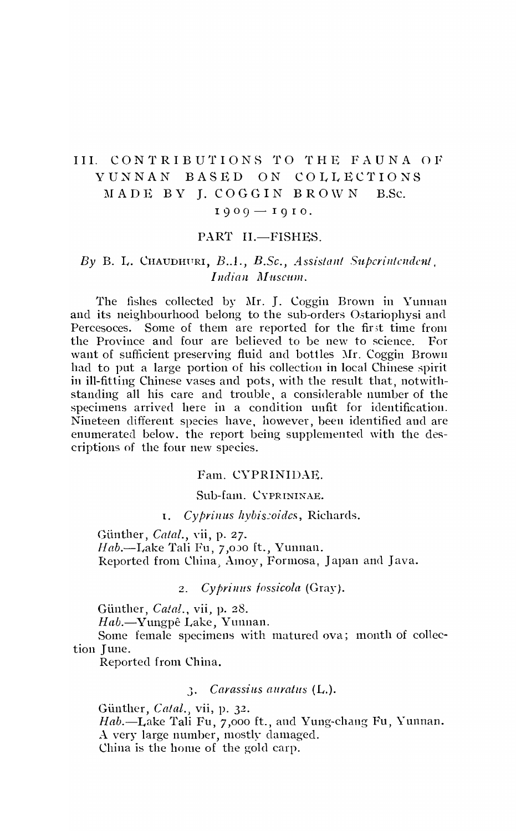# III. CONTRIBUTIONS TO THE FAUNA OF YUNNAN BASED ON COLLECTIONS MADE BY I. COGGIN BROWN B.Sc.  $1909 - 1910.$

# PART II.-FISHES.

# By B. L. CHAUDHURI, B.A., B.Sc., Assistant Superintendent. Indian Muscum.

The fishes collected by Mr. J. Coggin Brown in Yunnan and its neighbourhood belong to the sub-orders Ostariophysi and Percesoces. Some of them are reported for the first time from the Province and four are believed to be new to science. – For want of sufficient preserving fluid and bottles Mr. Coggin Brown had to put a large portion of his collection in local Chinese spirit in ill-fitting Chinese vases and pots, with the result that, notwithstanding all his care and trouble, a considerable number of the specimens arrived here in a condition unfit for identification. Nineteen different species have, however, been identified and are enumerated below, the report being supplemented with the descriptions of the four new species.

# Fam. CYPRINIDAE.

### Sub-fam. CYPRININAE.

Cyprinus hybiscoides, Richards.  $\mathbf{I}$ .

Günther, *Catal.*, vii, p. 27. Hab.-Lake Tali Fu, 7,000 ft., Yunnan. Reported from China, Amoy, Formosa, Japan and Java.

> Cyprinus fossicola (Gray).  $2.$

Günther, Catal., vii, p. 28.

Hab.-Yungpê Lake, Yunnan.

Some female specimens with matured ova; month of collection June.

Reported from China.

# 3. Carassius auratus (L.).

Günther, Catal., vii, p. 32. Hab.-Lake Tali Fu, 7,000 ft., and Yung-chang Fu, Yunnan. A very large number, mostly damaged. China is the home of the gold carp.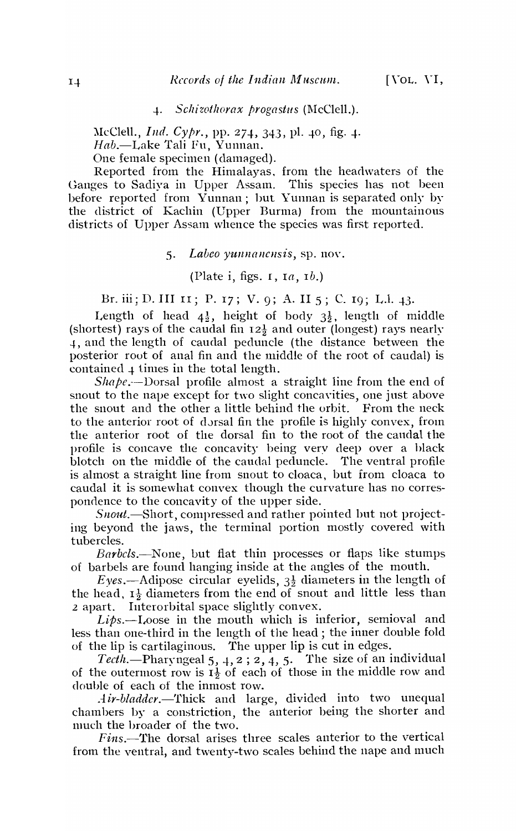-1-. *SclzizotllOrax progastus* (l\IcClell.).

McClell., *Ind. Cypr.*, pp. 274, 343, pl. 40, fig. 4. *Hab.-Lake* Tali Fu, Yunnan. One female specimen (damaged).

Reported from the Himalayas, from the headwaters of the Ganges to Sadiya in Upper Assam. This species has not been before reported from Yunnan; but Yunnan is separated only by the district of Kachin (Upper Burma) from the mountainous districts of Upper Assam whence the species was first reported.

#### 5. Labco yunnanensis, sp. nov.

(Plate i, figs.  $I$ ,  $I$  $a$ ,  $I$  $b$ .)

Br. iii; D. III II; P. 17; V. 9; A. II 5; C. 19; L.1. 43.

Length of head  $4\frac{1}{2}$ , height of body  $3\frac{1}{2}$ , length of middle (shortest) rays of the caudal fin  $12\frac{1}{2}$  and outer (longest) rays nearly 4, and the length of caudal peduncle (the distance between the posterior root of anal fin and the middle of the root of caudal) is contained  $\downarrow$  times in the total length.

*Shape.--Dorsal* profile almost a straight line from the end of snout to the nape except for two slight concavities, one just above the snout and the other a little behind the orbit. From the neck to the anterior root of dorsal fin the profile is highly convex, from the anterior root of the dorsal fin to the root of the caudal the profile is concave the concavity being very deep over a hlack blotch on the middle of the caudal peduncle. The ventral profile is almost a straight line from snout to cloaca, but from cloaca to caudal it is somewhat convex though the curvature has no correspondence to the concavity of the upper side.

Snout.-Short, compressed and rather pointed but not projecting beyond the jaws, the terminal portion mostly covered with tubercles.

*Barbcls.-None,* but flat thin processes or flaps like stumps of barbels are found hanging inside at the angles of the mouth.

Eyes.—Adipose circular eyelids,  $3\frac{1}{2}$  diameters in the length of the head,  $I_2^1$  diameters from the end of snout and little less than <sup>2</sup>apart. Interorbital space slightly convex.

*Lips.-Loose* in the mouth which is inferior, semioval and less than one-third in the length of the head; the inner double fold of the lip is cartilaginous. The upper lip is cut in edges.

Tecth.-Pharyngeal 5, 4, 2; 2, 4, 5. The size of an individual of the outermost row is  $I_2^1$  of each of those in the middle row and double of each of the inmost row.

*Air-bladder.*-Thick and large, divided into two unequal chambers by a constriction, the anterior being the shorter and much the broader of the two.

 $Fins$ —The dorsal arises three scales anterior to the vertical from the ventral, and twenty-two scales behind the nape and much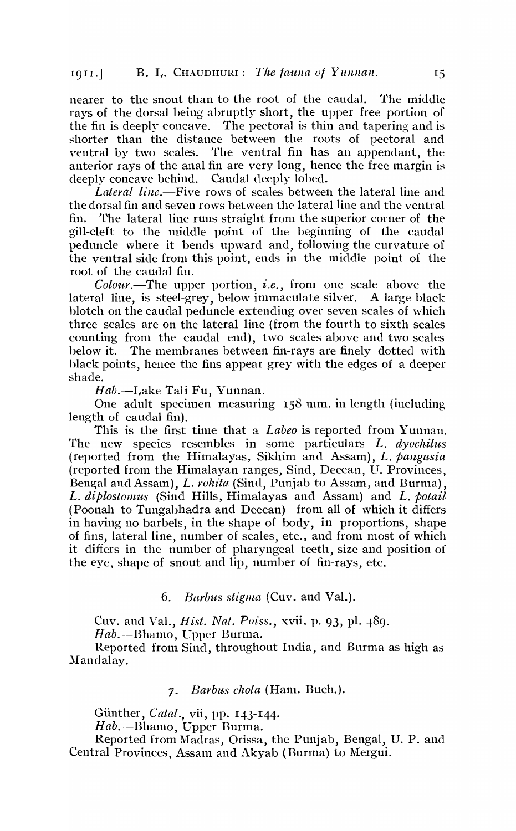nearer to the snout than to the root of the caudal. The middle rays of the dorsal being abruptly short, the upper free portion of the fin is deeply concave. The pectoral is thin and tapering and is shorter than the distance between the roots of pectoral and ventral by two scales. The ventral fin has an appendant, the anterior rays of the anal fin are very long, hence the free margin is deeply concave behind. Caudal deeply lobed.

*Lateral linc.-Five* rows of scales between the lateral line and the dorsal fin and seven rows between the lateral line and the ventral fin. The lateral line runs straight from the superior corner of the gill-cleft to the middle point of the beginning of the caudal peduncle where it bends upward and, following the curvature of the ventral side from this point, ends in the middle point of the root of the caudal fin.

*Colour.-The* upper portion, *i.e.,* from one scale above the lateral line, is steel-grey, below immaculate silver. A large black blotch on the caudal peduncle extending over seven scales of which three scales are on the lateral line (from the fourth to sixth scales counting from the caudal end), two scales above and two scales below it. The membranes between fin-rays are finely dotted with hlack points, hence the fins appear grey with the edges of a deeper shade.

*Hab.-Lake* Tali Fu, Yunnan.

One adult specimen measuring ISS mm. in length (including length of caudal fin).

This is the first time that a *Labeo* is reported from Yunnan. The new species resembles in some particulars *L. dyochilus*  (reported from the Himalayas, Sikhim and Assam), *L. pangusia* (reported from the Himalayan ranges, Sind, Deccan, U. Provinces, Bengal and Assam), *L. rohita* (Sind, Punjab to Assam, and Burma), *L. diplostomus* (Sind Hills, Himalayas and Assam) and *L. potail*  (Poonah to Tungabhadra and Deccan) from all of which it differs in having no barbels, in the shape of body, in proportions, shape of fins, lateral line, number of scales, etc., and from most of which it differs in the number of pharyngeal teeth, size and position of the eye, shape of snout and lip, number of fin-rays, etc.

## *6. Barbus stigma* (Cuv. and Val.).

Cuv. and Val., *Hist. Nat. Poiss.*, xvii, p. 93, pl. 489.

*Hab.-Bhamo,* Upper Burma.

Reported from Sind, throughout India, and Burma as high as Mandalay.

#### *7. Barblts chola* (Ham. Buch.).

Günther, *Catal.*, vii, pp. 143-144.

*Hab.-Bhamo,* Upper Bunna.

Reported from Madras, Orissa, the Punjab, Bengal, U. P. and Central Provinces, Assam and Akyab (Burma) to Mergui.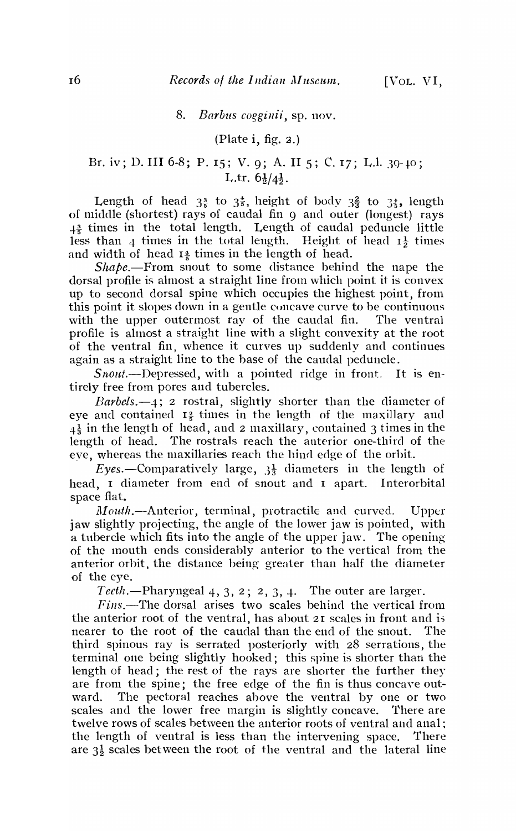#### 8. *Barbus cogginii*, sp. nov.

## (Plate **i,** fig. 2.)

# Br. iv; D. III 6-8; P. 15; V. 9; A. II 5; C. 17; L.l. 30-10; L.tr.  $6\frac{1}{2}/4\frac{1}{2}$ .

Length of head  $3\frac{3}{5}$  to  $3\frac{4}{5}$ , height of body  $3\frac{2}{3}$  to  $3\frac{4}{5}$ , length of middle (shortest) rays of caudal fin 9 and outer (longest) rays  $1<sup>3</sup>$  times in the total length. Length of caudal peduncle little less than 4 times in the total length. Height of head  $I_3^1$  times and width of head  $I^*_{\tau}$  times in the length of head.

*Shape.-From* snout to some distance behind the nape the dorsal profile is almost a straight line from which point it is convex up to second dorsal spine which occupies the highest point, from this point it slopes down in a gentle cuncave curve to be continuous with the upper outermost ray of the caudal fin. The ventral profile is almost a straight line with a slight convexity at the root of the ventral fin, whence it curves up suddenly and continues again as a straight line to the base of the caudal peduncle.

 $Snout$ .-Depressed, with a pointed ridge in front. It is entirely free from pores and tubercles.

*Barbels.-4;* 2 rostral, slightly shorter than the diameter of eye and contained  $I_{\frac{2}{3}}$  times in the length of the maxillary and  $4\frac{1}{3}$  in the length of head, and 2 maxillary, contained 3 times in the length of head. The rostrals reach the anterior one-third of the eye, whereas the maxillaries reach the hind edge of the orbit.

Eyes.--Comparatively large,  $3\frac{1}{3}$  diameters in the length of head, I diameter from end of snout and I apart. Interorbital space flat.

Mouth.--Anterior, terminal, protractile and curved. Upper jaw slightly projecting, the angle of the lower jaw is pointed, with a tubercle which fits into the angle of the upper jaw. The opening of the mouth ends considerably anterior to the vertical from the anterior orbit, the distance being greater than half the diameter of the eye.

*Tecth.*—Pharyngeal  $4, 3, 2; 2, 3, 4$ . The outer are larger.

 $Fins$ .-The dorsal arises two scales behind the vertical from the anterior root of the ventral, has about  $2I$  scales in front and is nearer to the root of the caudal than the end of the snout. The third spinous ray is serrated posteriorly with 28 serrations, the terminal one being slightly hooked; this spine is shorter than the length of head; the rest of the rays are shorter the further they are from the spine; the free edge of the fin is thus concave outward. The pectoral reaches above the ventral by one or two scales and the lower free margin is slightly concave. There are twelve rows of scales between the anterior roots of ventral and anal; the length of ventral is less than the intervening space. There are  $3\frac{1}{2}$  scales between the root of the ventral and the lateral line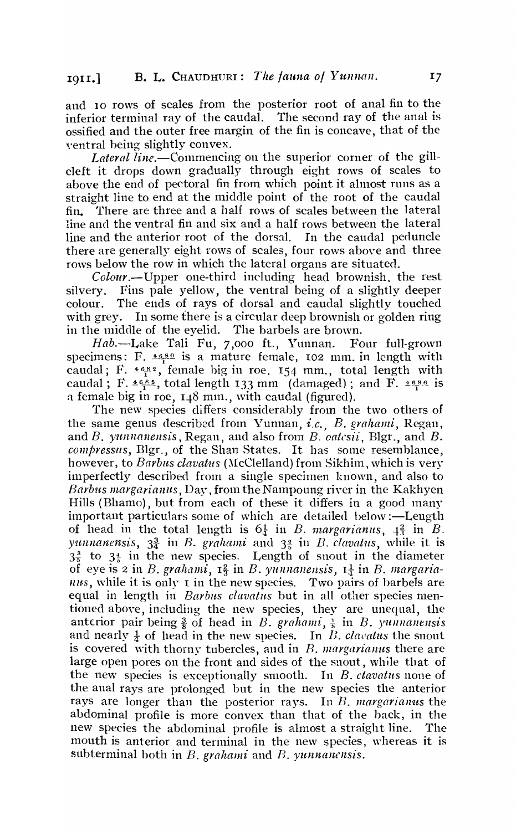and 10 rows of scales from the posterior root of anal fin to the inferior terminal ray of the caudal. The second ray of the anal is ossified and the outer free margin of the fin is concave, that of the yentral being slightly convex.

*Lateral line.*—Commencing on the superior corner of the gillcleft it drops down gradually through eight rows of scales to above the end of pectoral fin from which point it almost runs as a straight line to end at the middle point of the root of the caudal fin. There are three and a half rows of scales between the lateral line and the ventral fin and six and a half rows between the lateral line and the anterior root of the dorsal. In the caudal peduncle there are generally eight rows of scales, four rows above and three rows below the row in which the lateral organs are situated.

*Colour.-Upper* one-third including head brownish. the rest silvery. Fins pale yellow, the ventral being of a slightly deeper colour. The ends of rays of dorsal and caudal slightly touched with grey. In some there is a circular deep brownish or golden ring in the middle of the eyelid. The barbels are brown.

Hab.-Lake Tali Fu, 7,000 ft., Yunnan. Four full-grown specimens: F.  $\frac{4680}{15}$  is a mature female, 102 mm. in length with caudal; F.  $\pm 6.82$ , female big in roe, 154 mm., total length with caudal; F.  $4655$ , total length 133 mm (damaged); and F.  $4656$  is a female big in roe,  $1.48$  mm., with caudal (figured).

The new species differs considerably from the two others of the same genus described from Yunnan, *i.c.*, *B. grahami*, Regan, andB. *YUJlnallellsis,Regan,* and also from *B. oatcsii,* Bigr., and B. *compressus,* BIgr., of the Shan States. It has some resemblance, however, to *Barbus clavatus* (McClelland) from Sikhim, which is very imperfectly described from a single specimen known, and also to *Barbus margarianus, Day, from the Nampoung river in the Kakhyen* Hills (Bhamo), but from each of these it differs in a good many important particulars some of which are detailed below:-Length of head in the total length is  $6\frac{1}{4}$  in *B. margarianus*,  $\frac{2}{3}$  in *B. yunnanensis,*  $3\frac{3}{4}$  in B. *grahami* and  $3\frac{3}{5}$  in B. *clavatus*, while it is  $3\frac{3}{5}$  to  $3\frac{1}{5}$  in the new species. Length of snout in the diameter of eye is 2 in *B. grahami*,  $I_3^2$  in *B. yunnanensis*,  $I_4^1$  in *B. margaria* $nus$ , while it is only I in the new species. Two pairs of barbels are equal in length in *Barbus clavatus* but in all other species mentioned aboye, including the new species, they are unequal, the anterior pair being  $\frac{3}{8}$  of head in *B. grahami*,  $\frac{1}{8}$  in *B. vunnanensis* and nearly  $\frac{1}{4}$  of head in the new species. In *B. clavatus* the snout is covered with thorny tubercles, and in *B. margarianus* there are large open pores on the front and sides of the snout, while that of the new species is exceptionally smooth. In B. *ctavatus* none of the anal rays are prolonged but in the new species the anterior rays are longer than the posterior rays. In *B. margarianus* the abdominal profile is more convex than that of the back, in the new species the abdominal profile is almost a straight line. The mouth is anterior and terminal in the new species, whereas it is subterminal both in *B*. *grahami* and *B*. *yunnancnsis*.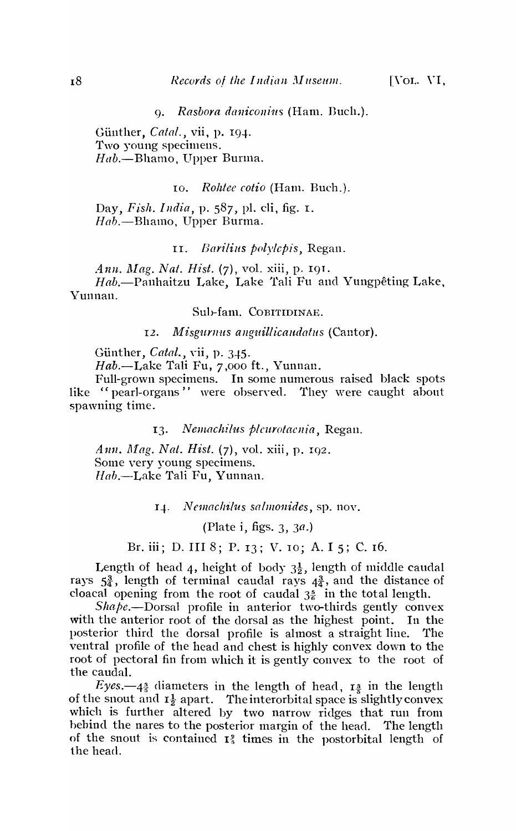*9. Rasbora dallicollius* (Ham. Duch.).

Günther, *Catal.*, vii, p. 194. Two young specimens. *Hab.-Bhamo,* Upper Burma.

10. *Rohtee eotio* (Ham. Bueh.).

Day, *Fish. I Ildia,* p. 587, pI. eli, fig. I.  $Hab$ , --Bhamo, Upper Burma.

11. *Barilius polylepis*, Regan.

*Ann. Mag. Nat. Hist.* (7), vol. xiii, p. 191.  $Hab$ —Panhaitzu Lake, Lake Tali Fu and Yungpêting Lake, Yunnan.

Sub-fam. COBITIDINAE.

12. *Misgurnus anguillicaudatus* (Cantor).

Günther, *Catal.*, vii, p. 345.

Hab.-Lake Tali Fu, 7,000 ft., Yunnan.

Full-grown specimens. In some numerous raised black spots like "pearl-organs" were observed. They were caught about spawning time.

13. Nemachilus plcurotacnia, Regan.

*Ann. Mag. Nat. Hist.* (7), vol. xiii, p. 192. Some very young specimens. *Hab.-Lake* Tali Fu, Yunnan.

*1-l. JVe1Jlaclzilus sa/monides,* sp. nov.

(Plate i, figs. 3, *3a.)* 

Br. iii; D. III 8; P. 13; V. 10; A. I 5; C. 16.

Length of head 4, height of body  $3\frac{1}{2}$ , length of middle caudal rays  $5\frac{3}{4}$ , length of terminal caudal rays  $4\frac{3}{4}$ , and the distance of cloacal opening from the root of caudal  $3\frac{5}{6}$  in the total length.

 $Shape$ —Dorsal profile in anterior two-thirds gently convex with the anterior root of the dorsal as the highest point. In the posterior third the dorsal profile is almost a straight line. The ventral profile of the head and chest is highly convex down to the root of pectoral fin from which it is gently convex to the root of the caudal.

Eyes. $-4\frac{3}{5}$  diameters in the length of head,  $\mathbf{r}$ <sup>3</sup> in the length of the snout and  $I_2^1$  apart. The interorbital space is slightly convex which is further altered by two narrow ridges that run from hehind the nares to the posterior margin of the head. The length of the snout is contained  $I_5^2$  times in the postorbital length of the head.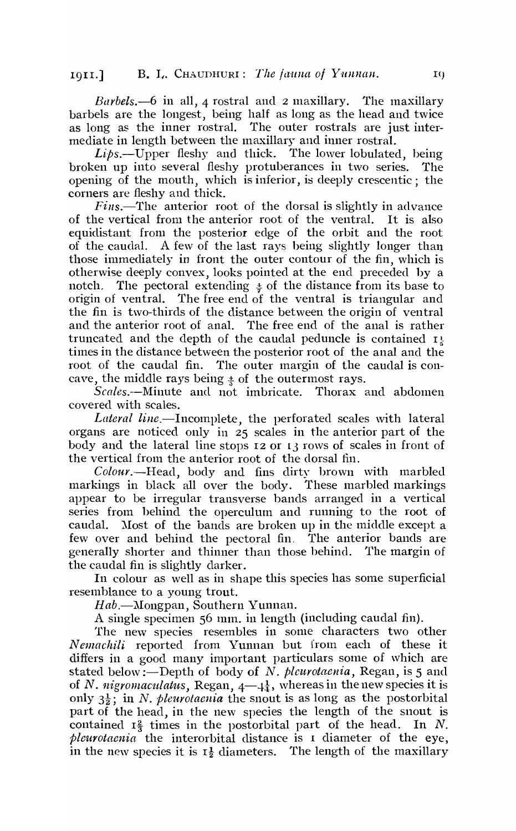*Barbels.*-6 in all, 4 rostral and 2 maxillary. The maxillary barbels are the longest, being half as long as the head and twice as long as the inner rostral. The outer rostrals are just intermediate in length between the maxillary and inner rostral.

 $Li\phi s$ . Upper fleshy and thick. The lower lobulated, being broken up into several fleshy protuberances in two series. The opening of the mouth, which is inferior, is deeply crescentic; the corners are fleshy and thick.

*Fins.*—The anterior root of the dorsal is slightly in advance of the vertical from the anterior root of the ventral. It is also equidistant from the posterior edge of the orbit and the root of the caudal. A few of the last rays being slightly longer than those immediately in front the outer contour of the fin, which is otherwise deeply convex, looks pointed at the end preceded by a notch. The pectoral extending  $\frac{1}{2}$  of the distance from its base to origin of ventral. The free end of the ventral is triangular and the fin is two-thirds of the distance between the origin of ventral and the anterior root of anal. The free end of the anal is rather truncated and the depth of the caudal peduncle is contained  $I_{\epsilon}$ times in the distance between the posterior root of the anal and the root of the caudal fin. The outer margin of the caudal is concave, the middle rays being  $\frac{4}{3}$  of the outermost rays.

*Scales.--Minute* and not imbricate. Thorax and abdomen covered with scales.

*Lateral line.-Incomplete,* the perforated scales with lateral organs are noticed only in 25 scales in the anterior part of the body and the lateral line stops 12 or 13 rows of scales in front of the vertical from the anterior root of the dorsal fin.

*Colour.-Head,* body and fins dirty brown with marbled markings in black all over the body. These marbled markings appear to be irregular transverse bands arranged in a vertical series from hehind the operculum and running to the root of caudal. Most of the bands are broken up in the middle except a few over and behind the pectoral fin. The anterior bands are generally shorter and thinner than those behind. The margin of the caudal fin is slightly darker.

In colour as well as in shape this species has some superficial resemblance to a young trout.

*Hab.*-*Mongpan, Southern Yunnan.* 

A single specimen 56 mm. in length (including caudal fin).

The new species resembles in some characters two other *N emachili* reported from Yunnan but from each of these it differs in a good many important particulars some of which are stated below:-Depth of body of *N. plcurotaenia*, Regan, is 5 and of *N. nigromaculatus*, Regan,  $4-4\frac{1}{4}$ , whereas in the new species it is only  $3\frac{1}{2}$ ; in *N. pleurotaenia* the snout is as long as the postorbital part of the head, in the new species the length of the snout is contained  $I_3^2$  times in the postorbital part of the head. In N. *pleurotaenia* the interorbital distance is I diameter of the eye, in the new species it is  $I_{\frac{1}{2}}$  diameters. The length of the maxillary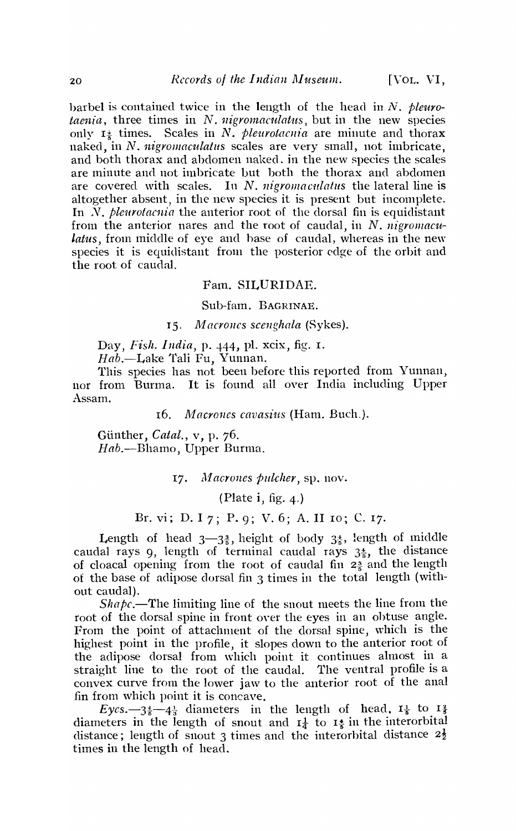barbel is contained twice in the length of the head in *N. pleurotaenia,* three times in N. *nigromaculatus*, but in the new species only  $I^{\pm}$  times. Scales in N. *pleurotacnia* are minute and thorax naked, in N. *nigromaculatus* scales are very small, not imbricate, and both thorax and abdomen naked, in the new species the scales are minute and not imbricate but both the thorax and abdomen are covered with scales. In N. *nigromaculatus* the lateral line is altogether absent, in the new species it is present but incomplete. In *N. pleurotacnia* the anterior root of the dorsal fin is equidistant from the anterior nares and the root of caudal, in N. *nigromaculatus,* from middle of eye and hase of caudal, whereas in the new species it is equidistant from the posterior edge of the orbit and the root of caudal.

#### Fam. SILURIDAE.

### Sub-fam. BAGRINAE.

#### 15. *Macrones scenghala* (Sykes).

Day, *Fish. India,* p. 444, pI. xcix, fig. I.

*Hab.-Lake* Tali Fu, Yunnan.

This species has not been before this reported from Yunnan, nor from Burma. It is found all over India including Upper Assam.

16. *Macrones cavasius* (Ham. Buch.).

Gunther, *Catal.,* v, p. 76. *Hab.-Bhamo,* Upper Burma.

17. *Macrones pulcher*, sp. nov.

(Plate i, fig. 4.)

# Br. vi; D. I 7; P. 9; V. 6; A. II 10; C. 17.

Length of head  $3\rightarrow 3\frac{3}{5}$ , height of body  $3\frac{4}{5}$ , length of middle caudal rays 9, length of terminal caudal rays  $3\frac{4}{5}$ , the distance of cloacal opening from the root of caudal fin  $2\frac{3}{5}$  and the length of the base of adipose dorsal fin  $\alpha$  times in the total length (without caudal).

*Shapc.*—The limiting line of the snout meets the line from the root of the dorsal spine in front over the eyes in an obtuse angle. From the point of attachment of the dorsal spine, which is the highest point in the profile, it slopes down to the anterior root of the adipose dorsal from which point it continues almost in a straight line to the root of the caudal. The ventral profile is a convex curve from the lower jaw to the anterior root of the anal fin from which point it is concave.

 $Eyes.-3\frac{4}{5}-4\frac{1}{3}$  diameters in the length of head,  $I_{\frac{1}{2}}$  to  $I_{\frac{3}{2}}$ diameters in the length of snout and  $I_{\frac{1}{4}}$  to  $I_{\frac{1}{5}}$  in the interorbital distance; length of snout 3 times and the interorbital distance  $2\frac{1}{2}$ times in the length of head.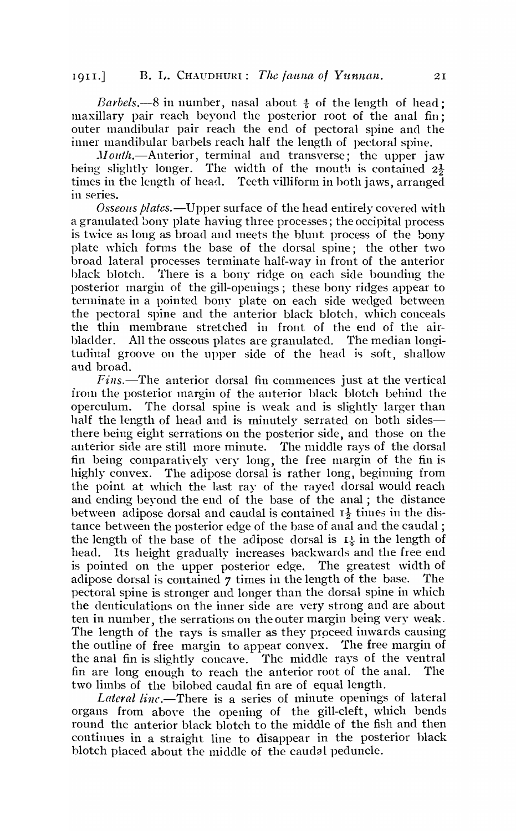*Barbels.*—8 in number, nasal about  $\frac{4}{5}$  of the length of head; maxillary pair reach beyond the posterior root of the anal fin; outer mandibular pair reach the end of pectoral spine and the inner mandibular barbels reach half the length of pectoral spine.

Mouth.-Anterior, terminal and transverse; the upper jaw being slightly longer. The width of the mouth is contained  $2\frac{1}{2}$ times in the length of head. Teeth villiform in hoth jaws, arranged in series.

*Osseolls plates.-Upper* surface of the head entirely covered with a granulated bony plate having three processes; the occipital process is twice as long as broad and meets the blunt process of the bony plate which forms the base of the dorsal spine; the other two broad lateral processes terminate half-way in front of the anterior black blotch. There is a bony ridge on each side bounding the posterior margin of the gill-openings; these bony ridges appear to terminate in a pointed bony plate on each side wedged between the pectoral spine and the anterior black blotch, which conceals the thin membrane stretched in front of the end of the airbladder. All the osseous plates are granulated. The median longitudinal groove on the upper side of the head is soft, shallow aud broad.

*Fins.*—The anterior dorsal fin commences just at the vertical 1rom the posterior margin of the anterior black blotch behind the operculum. The dorsal spine is weak and is slightly larger than half the length of head and is minutely serrated on both sidesthere being eight serrations on the posterior side, and those on the anterior side are still more minute. The middle rays of the dorsal fin being comparatively very long, the free margin of the fin is highly convex. The adipose dorsal is rather long, beginning from the point at which the last ray of the rayed dorsal would reach and ending beyond the end of the base of the anal; the distance between adipose dorsal and caudal is contained  $I_2$  times in the distance between the posterior edge of the base of anal and the caudal; the length of the base of the adipose dorsal is  $I_{\frac{1}{2}}$  in the length of head. Its height gradually increases hackwards and the free end is pointed on the upper posterior edge. The greatest width of adipose dorsal is contained 7 times in the length of the base. The pectoral spine is stronger and longer than the dorsal spine in which the denticulations on the inner side are very strong and are about ten in number, the serrations on the outer margin being very weak. The length of the rays is smaller as they proceed inwards causing the outline of free margin to appear convex. The free margin of the anal fin is slightly concave. The middle rays of the ventral fin are long enough to reach the anterior root of the anal. The two limbs of the bilohed caudal fin are of equal length.

*Lateral line*.-There is a series of minute openings of lateral organs from above the opening of the gill-cleft, which bends round the anterior black blotch to the middle of the fish and then continues in a straight line to disappear in the posterior black blotch placed about the middle of the caudal peduncle.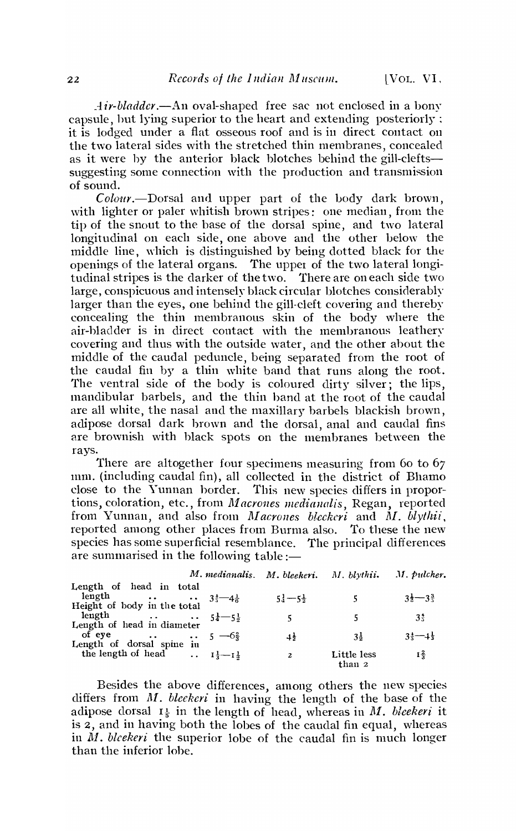*Air-bladder* .—An oval-shaped free sac not enclosed in a bony capsule, hut lying superior to the heart and extending posteriorly: it is lodged under a flat osseous roof and is in direct contact on the two lateral sides with the stretched thin membranes, concealed as it were by the anterior black blotches behind the gill-cleftssuggesting some connection with the production and transmission of sound.

*Colo'ur.-Dorsal* and upper part of the body dark brown, with lighter or paler whitish brown stripes: one median, from the tip of the snout to the base of the dorsal spine, and two lateral longitudinal on each side, one above and the other below the middle line, which is distinguished by being dotted black for the openings of the lateral organs. The upper of the two lateral longitudinal stripes is the darker of the two. There are on each side two large, conspicuous and intensely black circular blotches considerably larger than the eyes, one behind the gill-cleft covering and thereby concealing the thin Inembranous skin of the body where the air-bladder is in direct contact with the membranous leathery covering and thus with the outside water, and the other about the middle of the caudal peduncle, being separated from the root of the caudal fin by a thin white band that runs along the root. The ventral side of the body is coloured dirty silver; the lips, mandibular barbels) and the thin hand at the root of the caudal are all white, the nasal and the maxillary barbels blackish brown, adipose dorsal dark brown and the dorsal, anal and caudal fins are brownish with black spots on the membranes between the rays.

There are altogether four specimens measuring from 60 to 67 num. (including caudal fin), all collected in the district of Bhamo<br>close to the Yunnan border. This new species differs in propor-This new species differs in proportions, coloration, etc., from *Macrones medianalis*, Regan, reported from Yunnan, and also from *Macrones bleckeri* and M. *blythii*, reported among other places from Burma also. To these the new species has some superficial resemblance. The principal differences are summarised in the following table  $:=$ 

| Length of head in total |                                                                                                                                                                                                                                                                                   |                   |                                                               |
|-------------------------|-----------------------------------------------------------------------------------------------------------------------------------------------------------------------------------------------------------------------------------------------------------------------------------|-------------------|---------------------------------------------------------------|
|                         | $51 - 5\frac{1}{2}$                                                                                                                                                                                                                                                               |                   | $3\frac{1}{2}-3\frac{3}{2}$                                   |
|                         |                                                                                                                                                                                                                                                                                   |                   |                                                               |
|                         | 5                                                                                                                                                                                                                                                                                 | 5                 | $3\frac{4}{3}$                                                |
|                         |                                                                                                                                                                                                                                                                                   |                   |                                                               |
|                         |                                                                                                                                                                                                                                                                                   | 31                | $3\frac{1}{2}-1\frac{1}{2}$                                   |
|                         |                                                                                                                                                                                                                                                                                   |                   |                                                               |
|                         | $\mathbf{2}$                                                                                                                                                                                                                                                                      | Little less       | $1\frac{2}{3}$                                                |
|                         | length $\cdots$ $3\frac{1}{3}-4\frac{1}{6}$<br>Height of body in the total<br>length $5\frac{1}{4}-5\frac{1}{2}$<br>Length of head in diameter<br>of eye $\cdots$ 5 $-6\frac{2}{3}$<br>Length of dorsal spine in<br>the length of head $\ldots$ $I_{\frac{1}{3}-I_{\frac{1}{2}}}$ | $\pm \frac{1}{2}$ | M. medianalis. M. bleekeri. M. blythii. M. pulcher.<br>than 2 |

Besides the above differences, among others the new species differs from *M. bleekeri* in having the length of the base of the adipose dorsal  $I_{\frac{1}{2}}$  in the length of head, whereas in M. *bleekeri* it is 2, and in having both the lobes of the caudal fin equal, whereas in *M. bleekeri* the superior lobe of the caudal fin is much longer than the inferior lobe.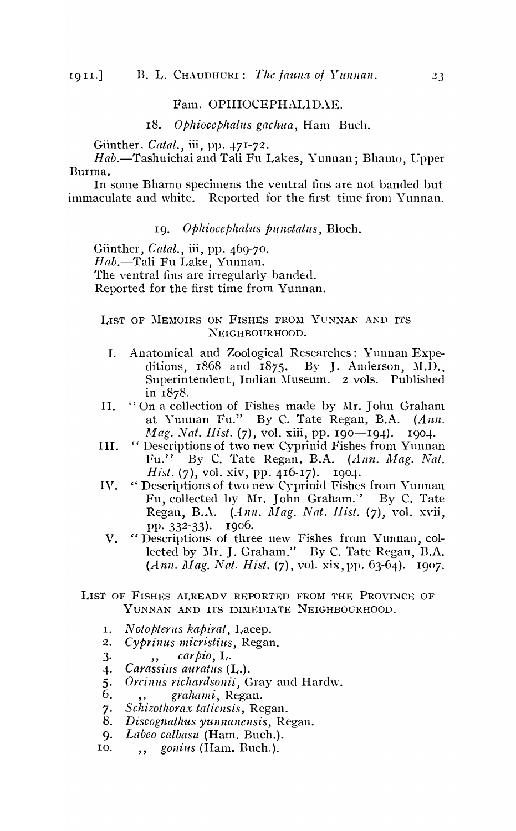# Fam. OPHIOCEPHALIDAE.

18. *OPlzioccphalus gachua,* Ham Buell.

Günther, *Catal.*, iii, pp. 471-72.

Hab.-Tashuichai and Tali Fu Lakes, Yunnan; Bhamo, Upper Burma.

In some Bhamo specimens the ventral fins are not banded hut immaculate and white. Reported for the first time from Yunnan.

# 19. Ophiocephalus punctatus, Bloch.

Günther, *Catal.*, iii, pp. 469-70. *Hab.-Tali* Fu Lake, Yunnan. The yentral fins are irregularly banded. Reported for the first time from Yunnan.

LIST OF MEMOIRS ON FISHES FROM YUNNAN AND ITS XEIGHBOVRHOOD.

- 1. Anatomical and Zoological Researches: Yunnan Expeditions,  $1868$  and  $1875$ . By J. Anderson, N.D., Superintendent, Indian Museum. 2 vols. Published in 1878.
- II. "On a collection of Fishes made by Mr. John Graham at Yunnan Fu." By C. Tate Regan, B.A. (Ann. *Mag. Nat. Hist.* (7), vol. xiii, pp. 190-194). 1904.
- III. "Descriptions of two new Cyprinid Fishes from Yunnan Fu." By C. Tate Regan, B.A. (Ann. Mag. Nat. *Hist.* (7), vol. xiv, pp. 416-17). 1904.
- IV. "Descriptions of two new Cyprinid Fishes from Yunnan Fu, collected by Mr. John Graham." By C. Tate Regan, B.A. (*Ann. Mag. Nat. Hist.* (7), vol. xvii,
	- pp. 332-33). 1906.<br>V. "Descriptions of three new Fishes from Yunnan, collected by Mr. J. Graham." By C. Tate Regan, B.A. (Ann. *Mag. Nat. Hist.* (7), vol. xix, pp. 63-64). 1907.
- LIST OF FISHES ALREADY REPORTED FROM THE PROVINCE OF YUNNAN AND ITS IMMEDIATE NEIGHBOURHOOD.
	- I. *Notopterus kapirat,* Lacep.
	- 2. Cyprinus micristius, Regan.
	- 3· *",, carpio, L.*<br>4. Carassius auratus (1
	- *4. Carassius aural-us* (L.).
	- 5. Orcinus richardsonii, Gray and Hardw.
	- 6. " *grahami,* Regan.
	- 7. Schizothorax talicusis, Regan.
	- 8. *Discognathus yunnanensis*, Regan.
	- 9. Labeo calbasu (Ham. Buch.).
	- 10. *gonius* (Ham. Buch.).